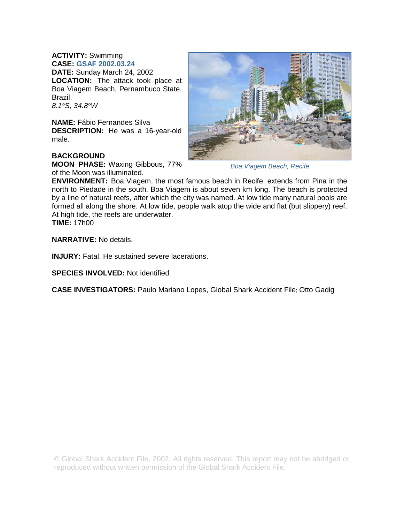## **ACTIVITY:** Swimming

**CASE: GSAF 2002.03.24 DATE:** Sunday March 24, 2002 **LOCATION:** The attack took place at Boa Viagem Beach, Pernambuco State, Brazil. *8.1°S, 34.8°W* 

**NAME:** Fábio Fernandes Silva **DESCRIPTION:** He was a 16-year-old male.

## **BACKGROUND**

**MOON PHASE:** Waxing Gibbous, 77% of the Moon was illuminated.



*Boa Viagem Beach, Recife* 

**ENVIRONMENT:** Boa Viagem, the most famous beach in Recife, extends from Pina in the north to Piedade in the south. Boa Viagem is about seven km long. The beach is protected by a line of natural reefs, after which the city was named. At low tide many natural pools are formed all along the shore. At low tide, people walk atop the wide and flat (but slippery) reef. At high tide, the reefs are underwater.

**TIME:** 17h00

**NARRATIVE:** No details.

**INJURY:** Fatal. He sustained severe lacerations.

**SPECIES INVOLVED:** Not identified

**CASE INVESTIGATORS:** Paulo Mariano Lopes, Global Shark Accident File; Otto Gadig

© Global Shark Accident File, 2002. All rights reserved. This report may not be abridged or reproduced without written permission of the Global Shark Accident File.